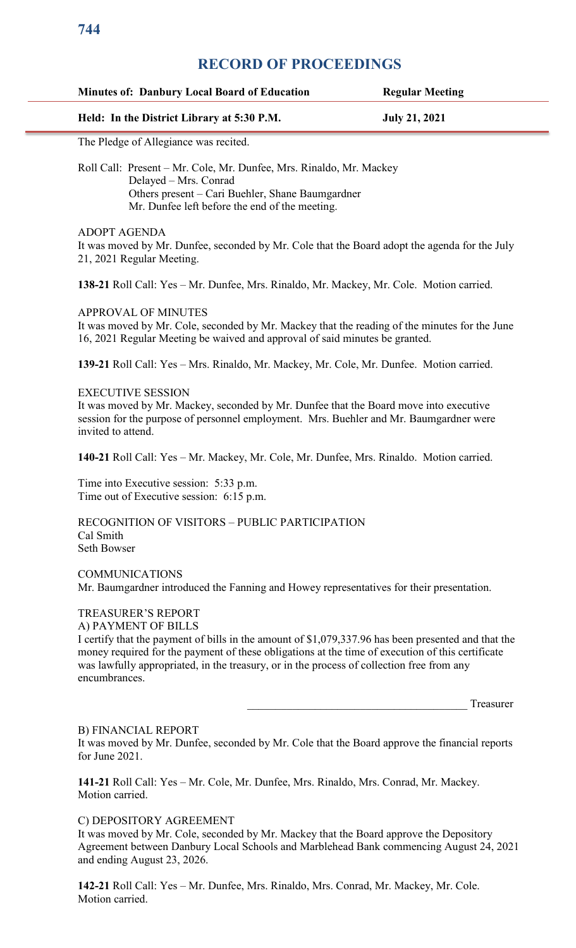### **Minutes of: Danbury Local Board of Education Regular Meeting**

### **Held: In the District Library at 5:30 P.M. July 21, 2021**

The Pledge of Allegiance was recited.

Roll Call: Present – Mr. Cole, Mr. Dunfee, Mrs. Rinaldo, Mr. Mackey Delayed – Mrs. Conrad Others present – Cari Buehler, Shane Baumgardner Mr. Dunfee left before the end of the meeting.

### ADOPT AGENDA

It was moved by Mr. Dunfee, seconded by Mr. Cole that the Board adopt the agenda for the July 21, 2021 Regular Meeting.

**138-21** Roll Call: Yes – Mr. Dunfee, Mrs. Rinaldo, Mr. Mackey, Mr. Cole. Motion carried.

### APPROVAL OF MINUTES

It was moved by Mr. Cole, seconded by Mr. Mackey that the reading of the minutes for the June 16, 2021 Regular Meeting be waived and approval of said minutes be granted.

**139-21** Roll Call: Yes – Mrs. Rinaldo, Mr. Mackey, Mr. Cole, Mr. Dunfee. Motion carried.

### EXECUTIVE SESSION

It was moved by Mr. Mackey, seconded by Mr. Dunfee that the Board move into executive session for the purpose of personnel employment. Mrs. Buehler and Mr. Baumgardner were invited to attend.

**140-21** Roll Call: Yes – Mr. Mackey, Mr. Cole, Mr. Dunfee, Mrs. Rinaldo. Motion carried.

Time into Executive session: 5:33 p.m. Time out of Executive session: 6:15 p.m.

RECOGNITION OF VISITORS – PUBLIC PARTICIPATION Cal Smith Seth Bowser

COMMUNICATIONS Mr. Baumgardner introduced the Fanning and Howey representatives for their presentation.

# TREASURER'S REPORT

A) PAYMENT OF BILLS

I certify that the payment of bills in the amount of \$1,079,337.96 has been presented and that the money required for the payment of these obligations at the time of execution of this certificate was lawfully appropriated, in the treasury, or in the process of collection free from any encumbrances.

\_\_\_\_\_\_\_\_\_\_\_\_\_\_\_\_\_\_\_\_\_\_\_\_\_\_\_\_\_\_\_\_\_\_\_\_\_\_\_ Treasurer

### B) FINANCIAL REPORT

It was moved by Mr. Dunfee, seconded by Mr. Cole that the Board approve the financial reports for June 2021.

**141-21** Roll Call: Yes – Mr. Cole, Mr. Dunfee, Mrs. Rinaldo, Mrs. Conrad, Mr. Mackey. Motion carried.

### C) DEPOSITORY AGREEMENT

It was moved by Mr. Cole, seconded by Mr. Mackey that the Board approve the Depository Agreement between Danbury Local Schools and Marblehead Bank commencing August 24, 2021 and ending August 23, 2026.

**142-21** Roll Call: Yes – Mr. Dunfee, Mrs. Rinaldo, Mrs. Conrad, Mr. Mackey, Mr. Cole. Motion carried.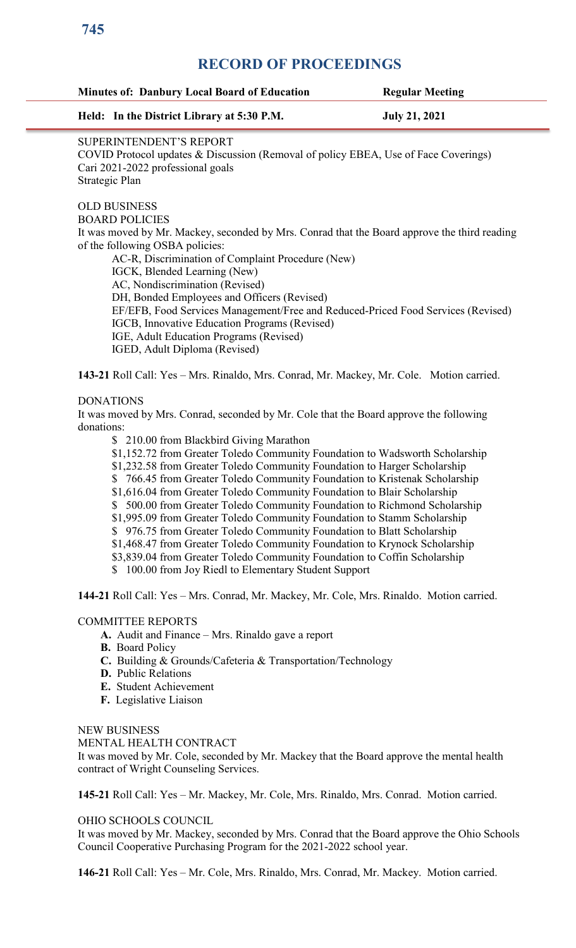| <b>Minutes of: Danbury Local Board of Education</b>                                                                                                                   | <b>Regular Meeting</b> |
|-----------------------------------------------------------------------------------------------------------------------------------------------------------------------|------------------------|
| Held: In the District Library at 5:30 P.M.                                                                                                                            | <b>July 21, 2021</b>   |
| SUPERINTENDENT'S REPORT<br>COVID Protocol updates & Discussion (Removal of policy EBEA, Use of Face Coverings)<br>Cari 2021-2022 professional goals<br>Strategic Plan |                        |
| <b>OLD BUSINESS</b>                                                                                                                                                   |                        |
| <b>BOARD POLICIES</b>                                                                                                                                                 |                        |
| It was moved by Mr. Mackey, seconded by Mrs. Conrad that the Board approve the third reading<br>of the following OSBA policies:                                       |                        |
| AC-R, Discrimination of Complaint Procedure (New)                                                                                                                     |                        |
| IGCK, Blended Learning (New)                                                                                                                                          |                        |
| AC, Nondiscrimination (Revised)                                                                                                                                       |                        |
| DH, Bonded Employees and Officers (Revised)<br>EF/EFB, Food Services Management/Free and Reduced-Priced Food Services (Revised)                                       |                        |
| IGCB, Innovative Education Programs (Revised)                                                                                                                         |                        |
| IGE, Adult Education Programs (Revised)                                                                                                                               |                        |
| IGED, Adult Diploma (Revised)                                                                                                                                         |                        |
| 143-21 Roll Call: Yes - Mrs. Rinaldo, Mrs. Conrad, Mr. Mackey, Mr. Cole. Motion carried.                                                                              |                        |
| <b>DONATIONS</b>                                                                                                                                                      |                        |
| It was moved by Mrs. Conrad, seconded by Mr. Cole that the Board approve the following                                                                                |                        |
| donations:                                                                                                                                                            |                        |
| \$ 210.00 from Blackbird Giving Marathon                                                                                                                              |                        |
| \$1,152.72 from Greater Toledo Community Foundation to Wadsworth Scholarship<br>\$1,232.58 from Greater Toledo Community Foundation to Harger Scholarship             |                        |
| \$766.45 from Greater Toledo Community Foundation to Kristenak Scholarship                                                                                            |                        |
| \$1,616.04 from Greater Toledo Community Foundation to Blair Scholarship                                                                                              |                        |
| \$500.00 from Greater Toledo Community Foundation to Richmond Scholarship                                                                                             |                        |
| \$1,995.09 from Greater Toledo Community Foundation to Stamm Scholarship                                                                                              |                        |
| \$976.75 from Greater Toledo Community Foundation to Blatt Scholarship<br>\$1,468.47 from Greater Toledo Community Foundation to Krynock Scholarship                  |                        |
| \$3,839.04 from Greater Toledo Community Foundation to Coffin Scholarship                                                                                             |                        |
| \$ 100.00 from Joy Riedl to Elementary Student Support                                                                                                                |                        |
| 144-21 Roll Call: Yes - Mrs. Conrad, Mr. Mackey, Mr. Cole, Mrs. Rinaldo. Motion carried.                                                                              |                        |
| <b>COMMITTEE REPORTS</b>                                                                                                                                              |                        |
| A. Audit and Finance - Mrs. Rinaldo gave a report                                                                                                                     |                        |
| <b>B.</b> Board Policy<br>C. Building & Grounds/Cafeteria & Transportation/Technology                                                                                 |                        |
| <b>D.</b> Public Relations                                                                                                                                            |                        |
| E. Student Achievement                                                                                                                                                |                        |
| F. Legislative Liaison                                                                                                                                                |                        |
| <b>NEW BUSINESS</b>                                                                                                                                                   |                        |
| MENTAL HEALTH CONTRACT                                                                                                                                                |                        |
| It was moved by Mr. Cole, seconded by Mr. Mackey that the Board approve the mental health                                                                             |                        |
| contract of Wright Counseling Services.                                                                                                                               |                        |
| 145-21 Roll Call: Yes - Mr. Mackey, Mr. Cole, Mrs. Rinaldo, Mrs. Conrad. Motion carried.                                                                              |                        |
| OHIO SCHOOLS COUNCIL                                                                                                                                                  |                        |
| It was moved by Mr. Mackey, seconded by Mrs. Conrad that the Board approve the Ohio Schools<br>Council Cooperative Purchasing Program for the 2021-2022 school year.  |                        |
|                                                                                                                                                                       |                        |
| 146-21 Roll Call: Yes - Mr. Cole, Mrs. Rinaldo, Mrs. Conrad, Mr. Mackey. Motion carried.                                                                              |                        |
|                                                                                                                                                                       |                        |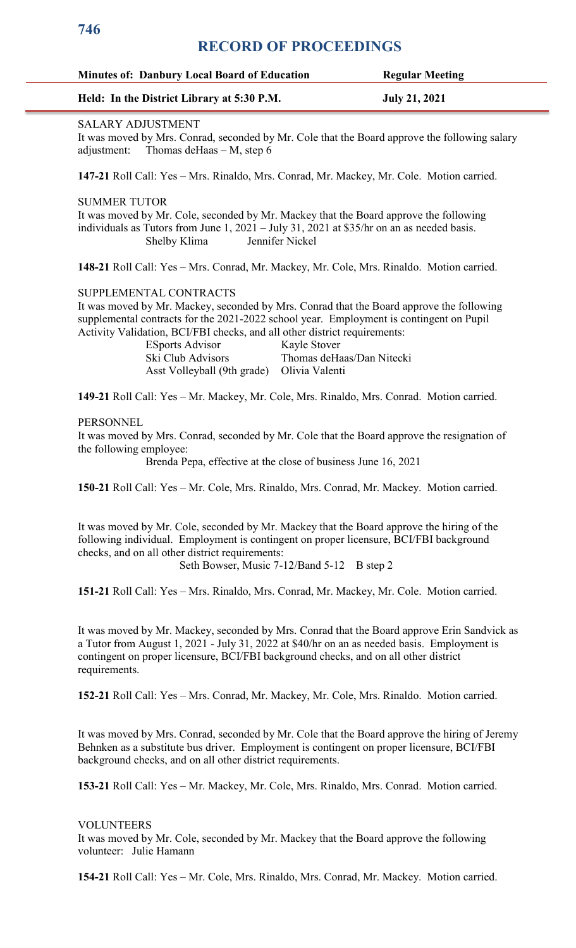| <b>Minutes of: Danbury Local Board of Education</b> | <b>Regular Meeting</b> |
|-----------------------------------------------------|------------------------|
| Held: In the District Library at 5:30 P.M.          | <b>July 21, 2021</b>   |

### SALARY ADJUSTMENT

It was moved by Mrs. Conrad, seconded by Mr. Cole that the Board approve the following salary adjustment: Thomas deHaas – M, step 6

**147-21** Roll Call: Yes – Mrs. Rinaldo, Mrs. Conrad, Mr. Mackey, Mr. Cole. Motion carried.

SUMMER TUTOR

It was moved by Mr. Cole, seconded by Mr. Mackey that the Board approve the following individuals as Tutors from June 1, 2021 – July 31, 2021 at \$35/hr on an as needed basis. Shelby Klima Jennifer Nickel

**148-21** Roll Call: Yes – Mrs. Conrad, Mr. Mackey, Mr. Cole, Mrs. Rinaldo. Motion carried.

SUPPLEMENTAL CONTRACTS

It was moved by Mr. Mackey, seconded by Mrs. Conrad that the Board approve the following supplemental contracts for the 2021-2022 school year. Employment is contingent on Pupil Activity Validation, BCI/FBI checks, and all other district requirements:

| <b>ESports Advisor</b>                     | Kayle Stover              |
|--------------------------------------------|---------------------------|
| Ski Club Advisors                          | Thomas deHaas/Dan Nitecki |
| Asst Volleyball (9th grade) Olivia Valenti |                           |

**149-21** Roll Call: Yes – Mr. Mackey, Mr. Cole, Mrs. Rinaldo, Mrs. Conrad. Motion carried.

### PERSONNEL

It was moved by Mrs. Conrad, seconded by Mr. Cole that the Board approve the resignation of the following employee:

Brenda Pepa, effective at the close of business June 16, 2021

**150-21** Roll Call: Yes – Mr. Cole, Mrs. Rinaldo, Mrs. Conrad, Mr. Mackey. Motion carried.

It was moved by Mr. Cole, seconded by Mr. Mackey that the Board approve the hiring of the following individual. Employment is contingent on proper licensure, BCI/FBI background checks, and on all other district requirements:

Seth Bowser, Music 7-12/Band 5-12 B step 2

**151-21** Roll Call: Yes – Mrs. Rinaldo, Mrs. Conrad, Mr. Mackey, Mr. Cole. Motion carried.

It was moved by Mr. Mackey, seconded by Mrs. Conrad that the Board approve Erin Sandvick as a Tutor from August 1, 2021 - July 31, 2022 at \$40/hr on an as needed basis. Employment is contingent on proper licensure, BCI/FBI background checks, and on all other district requirements.

**152-21** Roll Call: Yes – Mrs. Conrad, Mr. Mackey, Mr. Cole, Mrs. Rinaldo. Motion carried.

It was moved by Mrs. Conrad, seconded by Mr. Cole that the Board approve the hiring of Jeremy Behnken as a substitute bus driver. Employment is contingent on proper licensure, BCI/FBI background checks, and on all other district requirements.

**153-21** Roll Call: Yes – Mr. Mackey, Mr. Cole, Mrs. Rinaldo, Mrs. Conrad. Motion carried.

### VOLUNTEERS

It was moved by Mr. Cole, seconded by Mr. Mackey that the Board approve the following volunteer: Julie Hamann

**154-21** Roll Call: Yes – Mr. Cole, Mrs. Rinaldo, Mrs. Conrad, Mr. Mackey. Motion carried.

**746**